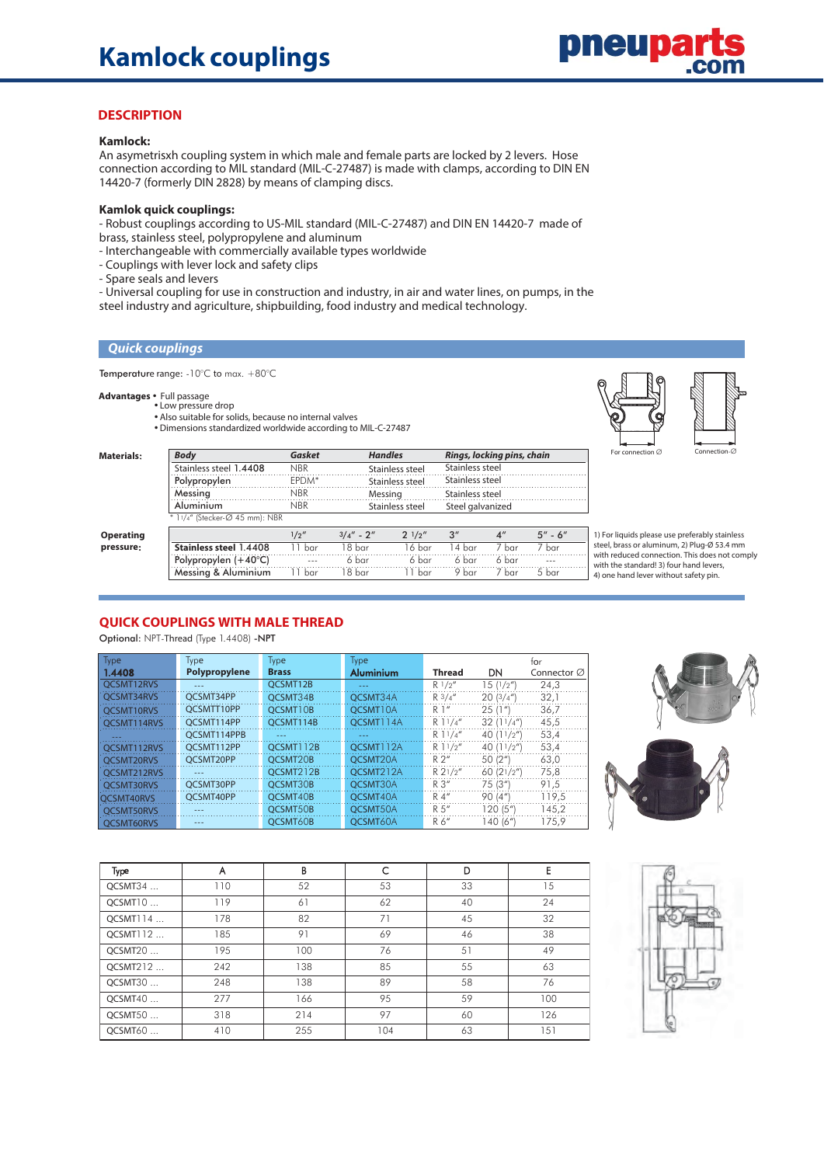

## **DESCRIPTION**

#### **Kamlock:**

An asymetrisxh coupling system in which male and female parts are locked by 2 levers. Hose connection according to MIL standard (MIL-C-27487) is made with clamps, according to DIN EN 14420-7 (formerly DIN 2828) by means of clamping discs.

#### **Kamlok quick couplings:**

- Robust couplings according to US-MIL standard (MIL-C-27487) and DIN EN 14420-7 made of brass, stainless steel, polypropylene and aluminum

- Interchangeable with commercially available types worldwide
- Couplings with lever lock and safety clips
- Spare seals and levers
- Universal coupling for use in construction and industry, in air and water lines, on pumps, in the
- steel industry and agriculture, shipbuilding, food industry and medical technology.

#### **Quick couplings**

Temperature range: -10°C to max. +80°C

# Advantages • Full passage<br>Low pressure drop • Low pressure

- Also suitable for solids, because no internal valves
- $\bullet$  Dimensions standardized worldwide according to MIL-C-27487



| Materials: | <b>Body</b>                    | Gasket     | <b>Handles</b> |                 | Rings, locking pins, chain |                    |             |
|------------|--------------------------------|------------|----------------|-----------------|----------------------------|--------------------|-------------|
|            | Stainless steel 1.4408         | <b>NBR</b> |                | Stainless steel | Stainless steel            |                    |             |
|            | Polypropylen                   | EPDM*      |                | Stainless steel | Stainless steel            |                    |             |
|            | Messing                        | <b>NBR</b> | Messing        |                 | Stainless steel            |                    |             |
|            | Aluminium                      | <b>NBR</b> |                | Stainless steel | Steel galvanized           |                    |             |
|            | * 11/4" (Stecker-Ø 45 mm): NBR |            |                |                 |                            |                    |             |
| Operating  |                                | 1/2''      | $3/4'' - 2''$  | $2^{1/2''}$     | $3^{\prime\prime}$         | $4^{\prime\prime}$ | $5'' - 6''$ |
| pressure;  | Stainless steel 1.4408         | 11 bar     | 18 bar         | 16 bar          | 14 bar                     | 7 bar              | 7 bar       |
|            | Polypropylen $(+40^{\circ}C)$  | $- - -$    | 6 bar          | 6 bar           | 6 bar                      | 6 bar              | $- - -$     |
|            | Messing & Aluminium            | 11 bar     | 18 bar         | <b>bar</b>      | 9 bar                      | 7 bar              | 5 bar       |

1) For liquids please use preferably stainless steel, brass or aluminum, 2) Plug-Ø 53.4 mm with reduced connection. This does not comply with the standard! 3) four hand levers, 4) one hand lever without safety pin.

## **QUICK COUPLINGS WITH MALE THREAD**

Optional: NPT-Thread (Type 1.4408) -NPT

| Type              | Type          | <b>Type</b>  | Type             |                |                     | tor                     |
|-------------------|---------------|--------------|------------------|----------------|---------------------|-------------------------|
| 1.4408            | Polypropylene | <b>Brass</b> | <b>Aluminium</b> | <b>Thread</b>  | DN                  | Connector $\varnothing$ |
| OCSMT12RVS        | $- - -$       | OCSMT12B     | $\frac{1}{2}$    | R1/2''         | 15(1/2'')           | 24,3                    |
| OCSMT34RVS        | OCSMT34PP     | OCSMT34B     | OCSMT34A         | R3/4''         | 20(3/4")            | 32,1                    |
| OCSMT10RVS        | OCSMTT10PP    | OCSMT10B     | OCSMT10A         | R <sup>1</sup> | 25(1")              | 36,7                    |
| OCSMT114RVS       | OCSMT114PP    | OCSMT114B    | OCSMT114A        | $R$ 11/4"      | 32(11/4")           | 45,5                    |
|                   | OCSMT114PPB   |              | ---              | $R$ 11/4"      | 40 $(11/2'')$       | 53,4                    |
| OCSMT112RVS       | OCSMT112PP    | OCSMT112B    | OCSMT112A        | $R$ 11/2"      | 40 $(11/2'')$       | 53,4                    |
| OCSMT20RVS        | OCSMT20PP     | OCSMT20B     | OCSMT20A         | R2''           | 50(2 <sup>n</sup> ) | 63,0                    |
| OCSMT212RVS       | $- - -$       | OCSMT212B    | OCSMT212A        | R21/2''        | 60(21/2")           | 75,8                    |
| OCSMT30RVS        | OCSMT30PP     | OCSMT30B     | OCSMT30A         | $R \n3''$      | 75 (3")             | 91,5                    |
| OCSMT40RVS        | OCSMT40PP     | OCSMT40B     | OCSMT40A         | R 4"           | 90(4")              | 119,5                   |
| <b>OCSMT50RVS</b> |               | OCSMT50B     | OCSMT50A         | R.5''          | 120 (5")            | 145.2                   |
| <b>OCSMT60RVS</b> | $- - -$       | OCSMT60B     | OCSMT60A         | $R6$ "         | 140 (6")            | 175.9                   |





| Type     | A   | B   | C   | D  | E   |
|----------|-----|-----|-----|----|-----|
| QCSMT34  | 110 | 52  | 53  | 33 | 15  |
| QCSMT10  | 119 | 61  | 62  | 40 | 24  |
| QCSMT114 | 178 | 82  | 71  | 45 | 32  |
| QCSMT112 | 185 | 91  | 69  | 46 | 38  |
| QCSMT20  | 195 | 100 | 76  | 51 | 49  |
| QCSMT212 | 242 | 138 | 85  | 55 | 63  |
| OCSMT30  | 248 | 138 | 89  | 58 | 76  |
| QCSMT40  | 277 | 166 | 95  | 59 | 100 |
| QCSMT50  | 318 | 214 | 97  | 60 | 126 |
| OCSMT60  | 410 | 255 | 104 | 63 | 151 |

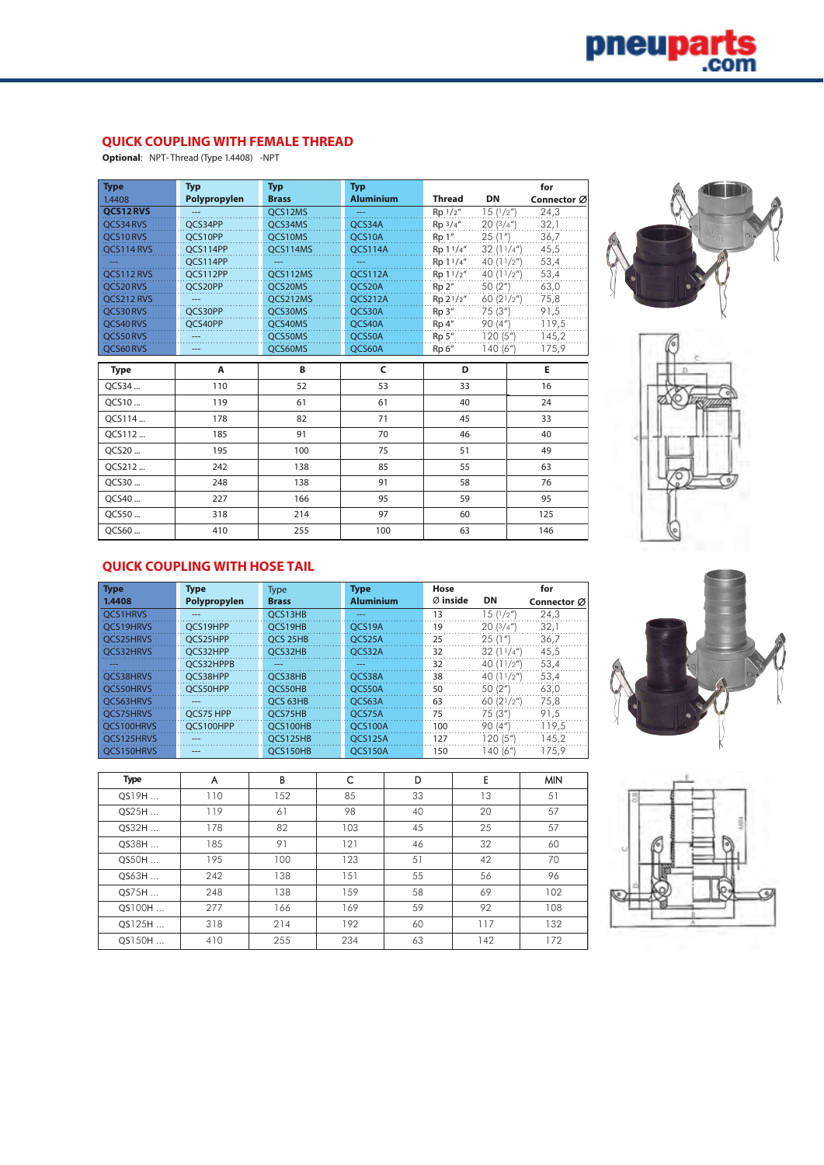

## **QUICK COUPLING WITH FEMALE THREAD**

**Optional**: NPT- Thread (Type 1.4408) -NPT

| <b>Type</b> | <b>Typ</b>   | <b>Typ</b>     | <b>Typ</b>       |                       |               | for         |
|-------------|--------------|----------------|------------------|-----------------------|---------------|-------------|
| 1.4408      | Polypropylen | <b>Brass</b>   | <b>Aluminium</b> | <b>Thread</b>         | DN            | Connector Ø |
| QCS12RVS    |              | QCS12MS        |                  | Rp 1/2"               | 15(1/2'')     | 24,3        |
| OCS34 RVS   | OCS34PP      | QCS34MS        | QCS34A           | $Rp \frac{3}{4}$ "    | 20(3/4'')     | 32,1        |
| OCS10RVS    | OCS10PP      | OCS10MS        | OCS10A           | Rp 1"                 | 25(1")        | 36.7        |
| QCS114 RVS  | OCS114PP     | QCS114MS       | QCS114A          | Rp 11/4"              | 32(11/4")     | 45,5        |
|             | OCS114PP     | $\overline{a}$ | $\sim$ $\sim$    | Rp 11/4"              | 40 $(11/2'')$ | 53,4        |
| OCS112 RVS  | OCS112PP     | OCS112MS       | <b>OCS112A</b>   | Rp 11/2"              | 40 $(11/2'')$ | 53,4        |
| QCS20RVS    | QCS20PP      | QCS20MS        | QCS20A           | Rp 2"                 | 50 (2")       | 63,0        |
| OCS212 RVS  |              | OCS212MS       | QCS212A          | Rp 2 <sup>1</sup> /2" | 60 (21/2")    | 75,8        |
| OCS30RVS    | OCS30PP      | OCS30MS        | OCS30A           | Rp <sup>3</sup>       | 75 (3")       | 91,5        |
| OCS40RVS    | OCS40PP      | OCS40MS        | OCS40A           | Rp 4"                 | 90 (4")       | 119,5       |
| OCS50RVS    |              | QCS50MS        | QCS50A           | Rp 5"                 | 120(5")       | 145,2       |
| QCS60RVS    |              | QCS60MS        | QCS60A           | Rp 6"                 | 140 (6")      | 175,9       |
| <b>Type</b> | Α            | B              | C                | D                     |               | E.          |
| QCS34       | 110          | 52             | 53               | 33                    |               | 16          |
| OCS10       |              |                |                  |                       |               |             |
|             | 119          | 61             | 61               | 40                    |               | 24          |
| OCS114      | 178          | 82             | 71               | 45                    |               | 33          |
| OCS112      | 185          | 91             | 70               | 46                    |               | 40          |
| OCS20       | 195          | 100            | 75               | 51                    |               | 49          |
| OCS212      | 242          | 138            | 85               | 55                    |               | 63          |
| OCS30       | 248          | 138            | 91               | 58                    |               | 76          |
| OCS40       | 227          | 166            | 95               | 59                    |               | 95          |
| OCS50       | 318          | 214            | 97               | 60                    |               | 125         |





## **QUICK COUPLING WITH HOSE TAIL**

| <b>Type</b> | <b>Type</b>  | <b>Type</b>  | <b>Type</b>      | Hose     |               | for         |
|-------------|--------------|--------------|------------------|----------|---------------|-------------|
| 1.4408      | Polypropylen | <b>Brass</b> | <b>Aluminium</b> | Ø inside | DN            | Connector Ø |
| OCS1HRVS    | $---$        | OCS13HB      | ---              | 13       | 15(1/2'')     | 24,3        |
| OCS19HRVS   | OCS19HPP     | OCS19HB      | OCS19A           | 19       | 20(3/4")      | 32,1        |
| OCS25HRVS   | OCS25HPP     | OCS 25HB     | OCS25A           | 25       | 25(1")        | 36,7        |
| OCS32HRVS   | OCS32HPP     | OCS32HB      | OCS32A           | 32       | 32(11/4")     | 45,5        |
|             | OCS32HPPB    | ---          | ---              | 32       | 40 $(11/2'')$ | 53,4        |
| OCS38HRVS   | OCS38HPP     | OCS38HB      | OCS38A           | 38       | 40 $(11/2'')$ | 53,4        |
| OCS50HRVS   | OCS50HPP     | OCS50HB      | OCS50A           | 50       | 50 (2")       | 63,0        |
| OCS63HRVS   | $---$        | OCS 63HB     | OCS63A           | 63       | 60 $(21/2'')$ | 75,8        |
| OCS75HRVS   | OCS75 HPP    | OCS75HB      | OCS75A           | 75       | 75 (3")       | 91.5        |
| OCS100HRVS  | OCS100HPP    | OCS100HB     | OCS100A          | 100      | 90(4")        | 119,5       |
| OCS125HRVS  | $- - -$      | OCS125HB     | <b>OCS125A</b>   | 127      | 120 (5")      | 145,2       |
| OCS150HRVS  | $- - -$      | OCS150HB     | OCS150A          | 150      | 140 (6")      | 175.9       |



| Type    | A   | B   | C   | D  | E   | <b>MIN</b> |
|---------|-----|-----|-----|----|-----|------------|
| QS19H   | 110 | 152 | 85  | 33 | 13  | 51         |
| QS25H   | 119 | 61  | 98  | 40 | 20  | 57         |
| $OS32H$ | 178 | 82  | 103 | 45 | 25  | 57         |
| QS38H   | 185 | 91  | 121 | 46 | 32  | 60         |
| QS50H   | 195 | 100 | 123 | 51 | 42  | 70         |
| QS63H   | 242 | 138 | 151 | 55 | 56  | 96         |
| QS75H   | 248 | 138 | 159 | 58 | 69  | 102        |
| QS100H  | 277 | 166 | 169 | 59 | 92  | 108        |
| QS125H  | 318 | 214 | 192 | 60 | 117 | 132        |
| QS150H  | 410 | 255 | 234 | 63 | 142 | 172        |

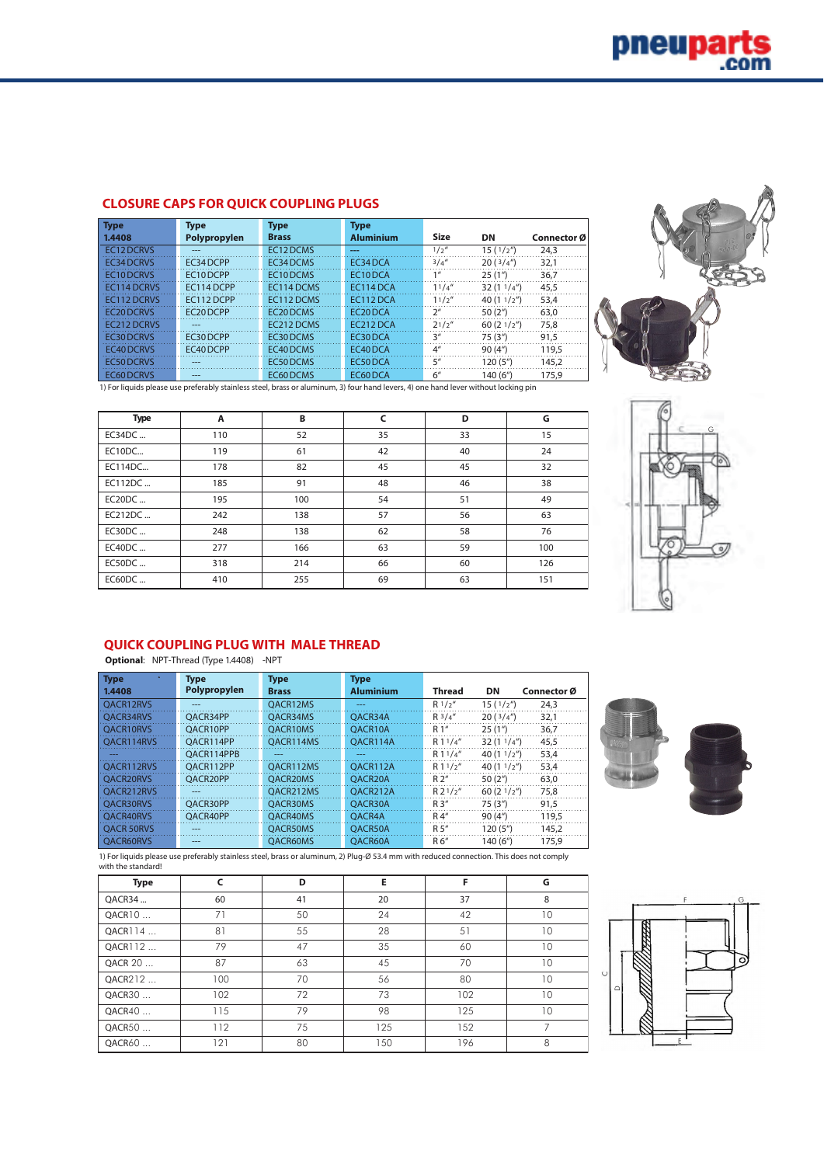## **CLOSURE CAPS FOR QUICK COUPLING PLUGS**

| <b>Type</b>            | <b>Type</b>  | <b>Type</b>            | <b>Type</b>      |                    |                      |             |
|------------------------|--------------|------------------------|------------------|--------------------|----------------------|-------------|
| 1.4408                 | Polypropylen | <b>Brass</b>           | <b>Aluminium</b> | <b>Size</b>        | DN                   | Connector Ø |
| EC12 DCRVS             | $- - -$      | EC12 DCMS              | ---              | 1/2''              | 15(1/2")             | 24.3        |
| EC34 DCRVS             | EC34DCPP     | EC34 DCMS              | EC34DCA          | 3/4''              | 20(3/4")             | 32,1        |
| <b>EC10DCRVS</b>       | EC10DCPP     | EC10DCMS               | EC10DCA          | 1 <sup>II</sup>    | 25(1")               | 36,7        |
| EC114 DCRVS            | EC114 DCPP   | EC114 DCMS             | EC114 DCA        | 11/4''             | 32(11/4")            | 45,5        |
| EC112 DCRVS            | EC112 DCPP   | EC112 DCMS             | EC112 DCA        | 11/2''             | 40 $(11/2'')$        | 53,4        |
| EC <sub>20</sub> DCRVS | EC20DCPP     | EC <sub>20</sub> DCMS  | EC20DCA          | $2^{\prime\prime}$ | 50(2 <sup>n</sup> )  | 63.0        |
| EC212 DCRVS            | ---          | EC <sub>212</sub> DCMS | EC212 DCA        | 21/2''             | 60(21/2")            | 75,8        |
| EC30 DCRVS             | EC30DCPP     | EC30 DCMS              | EC30 DCA         | 3''                | 75(3 <sup>''</sup> ) | 91.5        |
| EC40 DCRVS             | EC40DCPP     | EC40 DCMS              | EC40DCA          | $4^{\prime\prime}$ | 90(4 <sup>''</sup> ) | 119.5       |
| <b>EC50 DCRVS</b>      | ---          | EC50 DCMS              | EC50DCA          | 5''                | 120(5 <sup>n</sup> ) | 145.2       |
| <b>EC60 DCRVS</b>      | $---$        | EC60 DCMS              | EC60DCA          | 6"                 | 140 (6")             | 175.9       |



1) For liquids please use preferably stainless steel, brass or aluminum, 3) four hand levers, 4) one hand lever without locking pin

| <b>Type</b> | A   | B   | C  | D  | G   |
|-------------|-----|-----|----|----|-----|
| EC34DC      | 110 | 52  | 35 | 33 | 15  |
| EC10DC      | 119 | 61  | 42 | 40 | 24  |
| EC114DC     | 178 | 82  | 45 | 45 | 32  |
| EC112DC     | 185 | 91  | 48 | 46 | 38  |
| $EC20DC$    | 195 | 100 | 54 | 51 | 49  |
| EC212DC     | 242 | 138 | 57 | 56 | 63  |
| $EC30DC$    | 248 | 138 | 62 | 58 | 76  |
| $EC40DC$    | 277 | 166 | 63 | 59 | 100 |
| $EC50DC$    | 318 | 214 | 66 | 60 | 126 |
| $EC60DC$    | 410 | 255 | 69 | 63 | 151 |



## **QUICK COUPLING PLUG WITH MALE THREAD**

**Optional**: NPT-Thread (Type 1.4408) -NPT

| <b>Type</b><br>1.4408 | <b>Type</b><br>Polypropylen | <b>Type</b><br><b>Brass</b> | <b>Type</b><br><b>Aluminium</b> | <b>Thread</b> | DN                    | Connector Ø |
|-----------------------|-----------------------------|-----------------------------|---------------------------------|---------------|-----------------------|-------------|
| OACR12RVS             | $- - -$                     | OACR12MS                    | ---                             | R1/2''        | 15(1/2 <sup>n</sup> ) | 24.3        |
| OACR34RVS             | OACR34PP                    | OACR34MS                    | OACR34A                         | R3/4''        | 20(3/4")              | 32.1        |
| OACR10RVS             | OACR10PP                    | OACR10MS                    | OACR10A                         | R 1"          | 25(1")                | 36,7        |
| OACR114RVS            | OACR114PP                   | OACR114MS                   | OACR114A                        | R11/4''       | 32(11/4")             | 45.5        |
|                       | OACR114PPB                  | $\frac{1}{2}$               | ---                             | R11/4''       | 40 $(11/2'')$         | 53.4        |
| OACR112RVS            | OACR112PP                   | OACR112MS                   | OACR112A                        | R11/2''       | 40 $(11/2'')$         | 53.4        |
| <b>OACR20RVS</b>      | OACR20PP                    | <b>OACR20MS</b>             | OACR <sub>20</sub> A            | R2''          | 50(2 <sup>n</sup> )   | 63.0        |
| OACR212RVS            | ---                         | OACR212MS                   | OACR212A                        | $R2^{1/2''}$  | 60(21/2")             | 75,8        |
| <b>OACR30RVS</b>      | OACR30PP                    | <b>OACR30MS</b>             | OACR30A                         | R3''          | 75(3 <sup>''</sup> )  | 91.5        |
| <b>OACR40RVS</b>      | OACR40PP                    | OACR40MS                    | OACR4A                          | R4"           | 90(4 <sup>''</sup> )  | 119.5       |
| <b>OACR 50RVS</b>     | ---                         | <b>OACR50MS</b>             | OACR50A                         | R 5''         | 120(5 <sup>n</sup> )  | 145.2       |
| <b>OACR60RVS</b>      | ---                         | <b>OACR60MS</b>             | OACR60A                         | R 6"          | 140 (6")              | 175.9       |



1) For liquids please use preferably stainless steel, brass or aluminum, 2) Plug-Ø 53.4 mm with reduced connection. This does not comply with the standard!

| Type    | C   | D  | Е   | F   | G  |
|---------|-----|----|-----|-----|----|
| QACR34  | 60  | 41 | 20  | 37  | 8  |
| QACR10  | 71  | 50 | 24  | 42  | 10 |
| QACR114 | 81  | 55 | 28  | 51  | 10 |
| QACR112 | 79  | 47 | 35  | 60  | 10 |
| QACR 20 | 87  | 63 | 45  | 70  | 10 |
| QACR212 | 100 | 70 | 56  | 80  | 10 |
| QACR30  | 102 | 72 | 73  | 102 | 10 |
| QACR40  | 115 | 79 | 98  | 125 | 10 |
| QACR50  | 112 | 75 | 125 | 152 | 7  |
| OACR60  | 121 | 80 | 150 | 196 | 8  |

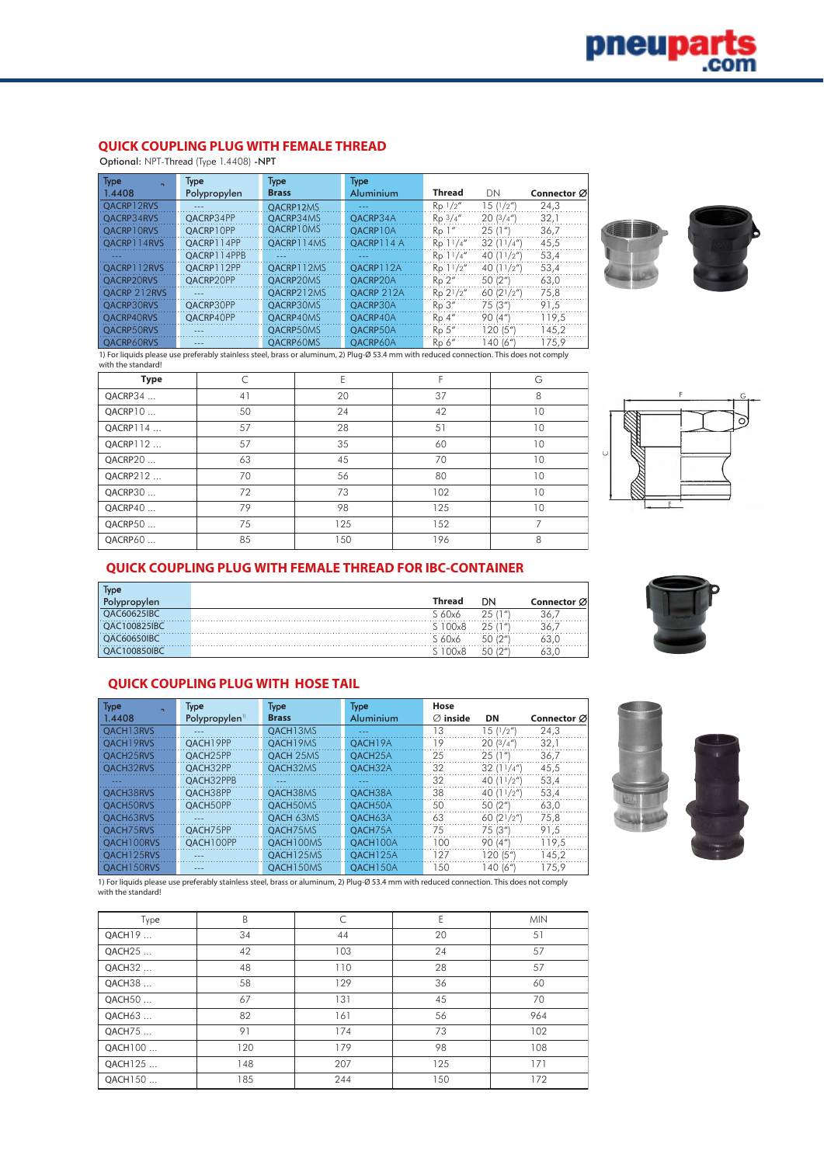## **QUICK COUPLING PLUG WITH FEMALE THREAD**

Optional: NPT-Thread (Type 1.4408) -NPT

| <b>Type</b>       | Type         | Type         | <b>Type</b>      |                  |               |             |
|-------------------|--------------|--------------|------------------|------------------|---------------|-------------|
| 1.4408            | Polypropylen | <b>Brass</b> | <b>Aluminium</b> | <b>Thread</b>    | DN            | Connector Ø |
| OACRP12RVS        | $- - -$      | OACRP12MS    | $- - -$          | $Rp \frac{1}{2}$ | 15(1/2'')     | 24.3        |
| OACRP34RVS        | OACRP34PP    | QACRP34MS    | OACRP34A         | $Rp \frac{3}{4}$ | 20(3/4")      | 32.1        |
| OACRP10RVS        | OACRP10PP    | OACRP10MS    | OACRP10A         | Ro <sup>1</sup>  | 25(1")        | 36,7        |
| OACRP114RVS       | OACRP114PP   | OACRP114MS   | OACRP114 A       | Rp 11/4''        | 32(11/4")     | 45,5        |
|                   | OACRP114PPB  |              | $- - -$          | Rp 11/4''        | 40 $(11/2'')$ | 53,4        |
| OACRP112RVS       | OACRP112PP   | OACRP112MS   | OACRP112A        | Rp 11/2"         | 40 $(11/2'')$ | 53,4        |
| OACRP20RVS        | OACRP20PP    | OACRP20MS    | OACRP20A         | Ro 2''           | 50 (2")       | 63,0        |
| OACRP 212RVS      | $- - -$      | OACRP212MS   | QACRP 212A       | Rp 21/2"         | 60 $(21/2'')$ | 75,8        |
| <b>OACRP30RVS</b> | OACRP30PP    | OACRP30MS    | OACRP30A         | Ro <sub>3</sub>  | 75 (3")       | 91.5        |
| <b>OACRP40RVS</b> | OACRP40PP    | OACRP40MS    | OACRP40A         | $Ro$ 4"          | 90(4")        | 119.5       |
| OACRP50RVS        | ---          | OACRP50MS    | OACRP50A         | Rp 5"            | 120(5")       | 145.2       |
| OACRP60RVS        | $- - -$      | OACRP60MS    | OACRP60A         | Rp <sub>6</sub>  | 140 (6")      | 175.9       |



1) For liquids please use preferably stainless steel, brass or aluminum, 2) Plug-Ø 53.4 mm with reduced connection. This does not comply with the standard!

| <b>Type</b> |    | F   |     | G  |
|-------------|----|-----|-----|----|
| QACRP34     | 41 | 20  | 37  | 8  |
| QACRP10     | 50 | 24  | 42  | 10 |
| QACRP114    | 57 | 28  | 51  | 10 |
| QACRP112    | 57 | 35  | 60  | 10 |
| QACRP20     | 63 | 45  | 70  | 10 |
| QACRP212    | 70 | 56  | 80  | 10 |
| QACRP30     | 72 | 73  | 102 | 10 |
| QACRP40     | 79 | 98  | 125 | 10 |
| QACRP50     | 75 | 125 | 152 |    |
| QACRP60     | 85 | 150 | 196 | 8  |



## **QUICK COUPLING PLUG WITH FEMALE THREAD FOR IBC-CONTAINER**

| lype                |        |                       |             |
|---------------------|--------|-----------------------|-------------|
| len                 | Thread | DN                    | Connector Ø |
| <b>JAC60625IBC</b>  | 60x6   | 25(1")                |             |
| <b>DAC100825IBC</b> | 00x8   | 25<br>7 <sub>II</sub> |             |
| <b>OAC60650IBC</b>  | 60x6   | $1^{\prime}$<br>50    |             |
|                     | 00x8   | $\sqrt{u}$<br>50      |             |

# **QUICK COUPLING PLUG WITH HOSE TAIL**

| <b>Type</b>           | <b>Type</b>                | <b>Type</b>  | <b>Type</b>           | Hose                 |               |             |
|-----------------------|----------------------------|--------------|-----------------------|----------------------|---------------|-------------|
| 1.4408                | Polypropylen <sup>11</sup> | <b>Brass</b> | Aluminium             | $\varnothing$ inside | DN            | Connector Ø |
| OACH13RVS             | $- - -$                    | OACH13MS     | ---                   | 13                   | 15(1/2'')     | 24,3        |
| OACH19RVS             | OACH19PP                   | OACH19MS     | OACH <sub>19</sub> A  | 19                   | 20(3/4")      | 32,1        |
| OACH <sub>25RVS</sub> | QACH25PP                   | OACH 25MS    | OACH <sub>25</sub> A  | 25                   | 25(1")        | 36.7        |
| OACH32RVS             | OACH32PP                   | OACH32MS     | OACH32A               | 32                   | 32(11/4")     | 45,5        |
|                       | OACH32PPB                  | $- - -$      | ---                   | 32                   | 40 $(11/2'')$ | 53,4        |
| OACH38RVS             | OACH38PP                   | OACH38MS     | OACH38A               | 38                   | 40 $(11/2'')$ | 53,4        |
| OACH50RVS             | OACH50PP                   | OACH50MS     | OACH50A               | 50                   | 50 (2")       | 63,0        |
| OACH63RVS             | $- - -$                    | OACH 63MS    | OACH63A               | 63                   | 60(21/2")     | 75,8        |
| OACH75RVS             | OACH75PP                   | OACH75MS     | OACH75A               | 75                   | 75 (3")       | 91.5        |
| OACH100RVS            | OACH100PP                  | OACH100MS    | OACH100A              | 100                  | 90(4")        | 119,5       |
| OACH125RVS            |                            | QACH125MS    | OACH125A              | 127                  | 120 (5"       | 145.2       |
| OACH150RVS            | $- - -$                    | OACH150MS    | OACH <sub>150</sub> A | 150                  | 140 (6")      | 175.9       |

1) For liquids please use preferably stainless steel, brass or aluminum, 2) Plug-Ø 53.4 mm with reduced connection. This does not comply with the standard!

| Type               | B   |     | E   | <b>MIN</b> |
|--------------------|-----|-----|-----|------------|
| QACH <sub>19</sub> | 34  | 44  | 20  | 51         |
| QACH25             | 42  | 103 | 24  | 57         |
| QACH32             | 48  | 110 | 28  | 57         |
| QACH38             | 58  | 129 | 36  | 60         |
| QACH50             | 67  | 131 | 45  | 70         |
| QACH63             | 82  | 161 | 56  | 964        |
| QACH75             | 91  | 174 | 73  | 102        |
| QACH100            | 120 | 179 | 98  | 108        |
| QACH125            | 148 | 207 | 125 | 171        |
| QACH150            | 185 | 244 | 150 | 172        |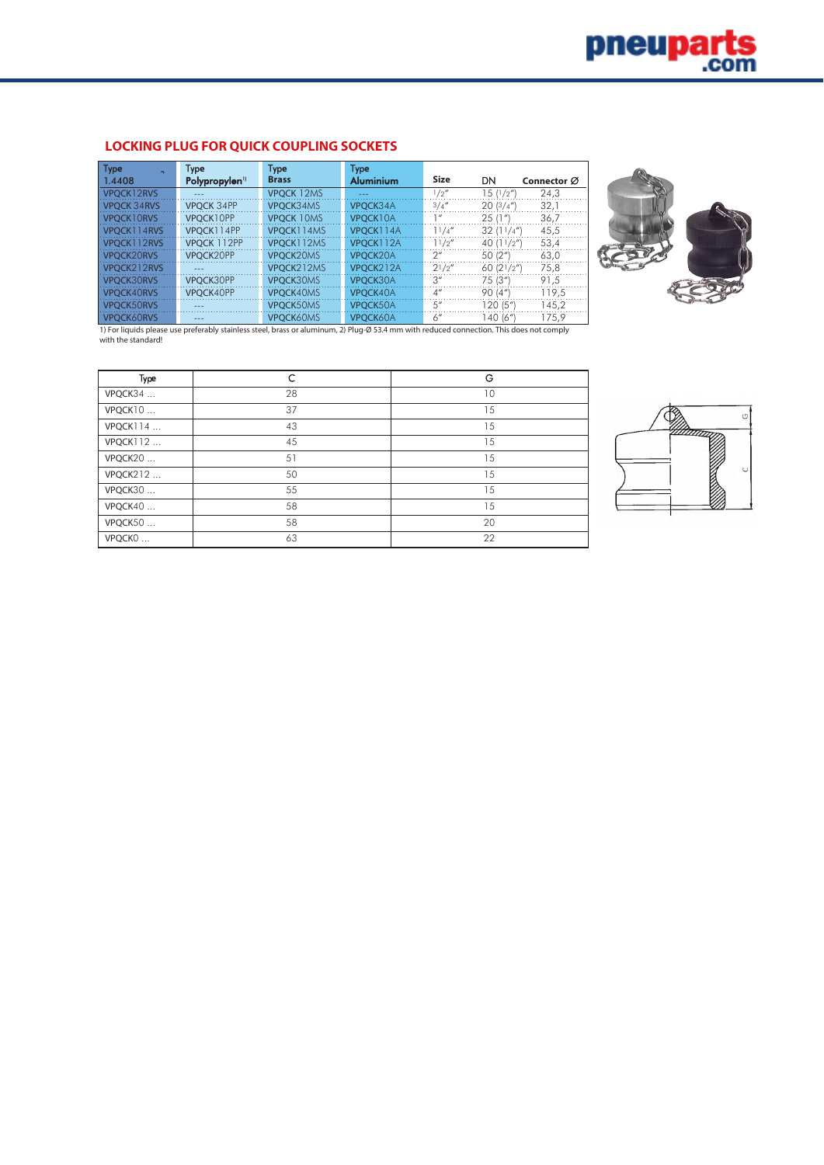## **LOCKING PLUG FOR QUICK COUPLING SOCKETS**

| <b>Type</b>        | Type                      | Type              | Type             |                    |                     |             |
|--------------------|---------------------------|-------------------|------------------|--------------------|---------------------|-------------|
| 1.4408             | Polypropylen <sup>1</sup> | <b>Brass</b>      | <b>Aluminium</b> | <b>Size</b>        | DN                  | Connector Ø |
| VPOCK12RVS         | $- - -$                   | <b>VPOCK 12MS</b> | $- - -$          | 1/2''              | 15(1/2'')           | 24,3        |
| <b>VPOCK 34RVS</b> | <b>VPOCK 34PP</b>         | VPOCK34MS         | VPOCK34A         | 3/4''              | 20(3/4")            | 32,1        |
| VPOCK10RVS         | VPOCK10PP                 | <b>VPOCK 10MS</b> | VPOCK10A         | 1 <sup>u</sup>     | 25(1")              | 36,7        |
| VPOCK114RVS        | VPOCK114PP                | VPOCK114MS        | VPOCK114A        | 11/4''             | 32(11/4")           | 45,5        |
| VPOCK112RVS        | VPOCK 112PP               | VPOCK112MS        | VPOCK112A        | 11/2''             | 40 $(11/2'')$       | 53,4        |
| VPOCK20RVS         | VPOCK20PP                 | VPOCK20MS         | VPOCK20A         | $2^{\prime\prime}$ | 50 (2")             | 63,0        |
| VPOCK212RVS        | $- - -$                   | VPOCK212MS        | VPOCK212A        | 21/2''             | 60 $(21/2'')$       | 75,8        |
| VPOCK30RVS         | VPOCK30PP                 | VPOCK30MS         | VPOCK30A         | 3''                | 75(3 <sup>4</sup> ) | 91.5        |
| <b>VPOCK40RVS</b>  | VPOCK40PP                 | VPOCK40MS         | VPOCK40A         | $4^{\prime\prime}$ | 90(4")              | 119.5       |
| VPOCK50RVS         | $- - -$                   | VPOCK50MS         | VPOCK50A         | 5''                | 120 (5")            | 145,2       |
| <b>VPOCK60RVS</b>  | ---                       | VPOCK60MS         | VPOCK60A         | 6''                | 140 (6")            | 175,9       |



1) For liquids please use preferably stainless steel, brass or aluminum, 2) Plug-Ø 53.4 mm with reduced connection. This does not comply with the standard!

| Type            | C  | G  |
|-----------------|----|----|
| VPQCK34         | 28 | 10 |
| VPQCK10         | 37 | 15 |
| VPQCK114        | 43 | 15 |
| VPQCK112        | 45 | 15 |
| VPQCK20         | 51 | 15 |
| <b>VPQCK212</b> | 50 | 15 |
| VPQCK30         | 55 | 15 |
| VPQCK40         | 58 | 15 |
| VPQCK50         | 58 | 20 |
| VPQCKO          | 63 | 22 |

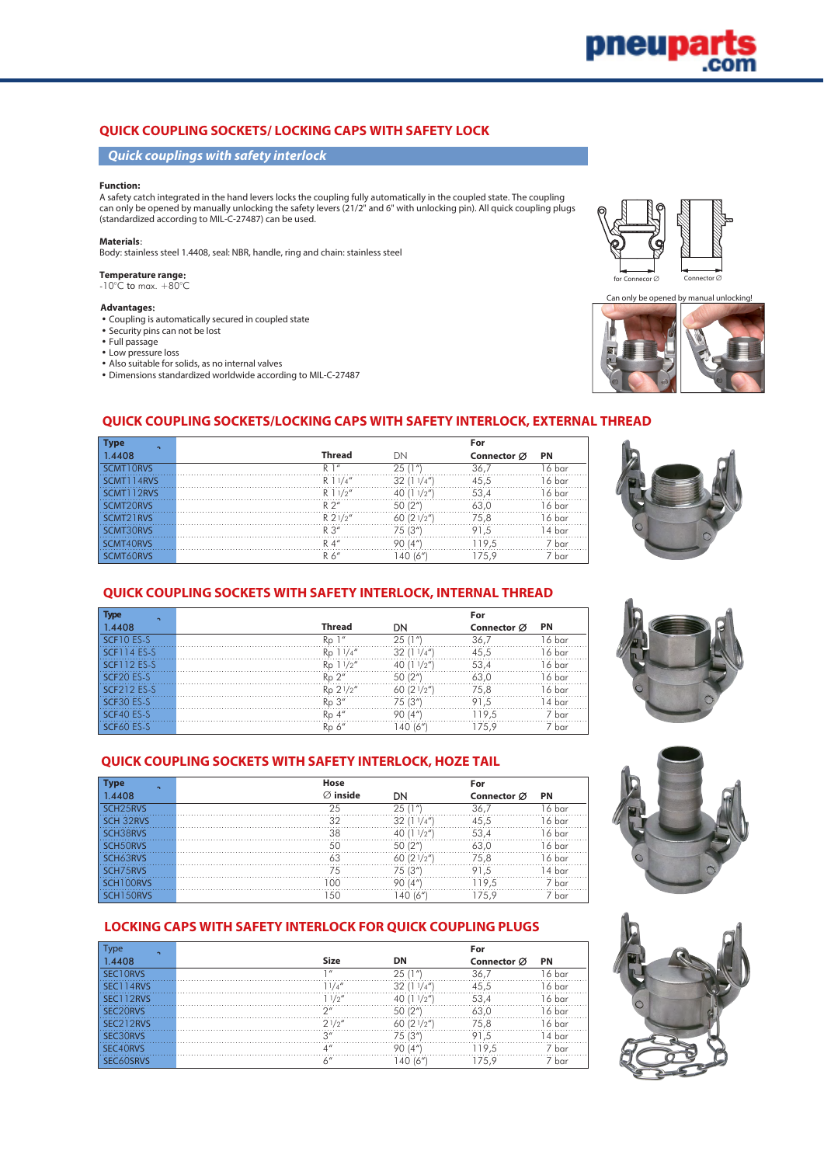## **QUICK COUPLING SOCKETS/ LOCKING CAPS WITH SAFETY LOCK**

#### **Quick couplings with safety interlock**

#### **Function:**

A safety catch integrated in the hand levers locks the coupling fully automatically in the coupled state. The coupling can only be opened by manually unlocking the safety levers (21/2" and 6" with unlocking pin). All quick coupling plugs (standardized according to MIL-C-27487) can be used.

#### **Materials**:

Body: stainless steel 1.4408, seal: NBR, handle, ring and chain: stainless steel

#### **Temperature range**:

 $-10^{\circ}$ C to max.  $+80^{\circ}$ C

#### **Advantages**:

- Coupling is automatically secured in coupled state
- Security pins can not be lost
- Full passage
- Low pressure loss
- Also suitable for solids, as no internal valves
- Dimensions standardized worldwide according to MIL-C-27487





#### **QUICK COUPLING SOCKETS/LOCKING CAPS WITH SAFETY INTERLOCK, EXTERNAL THREAD**

| <b>Type</b><br>$\sim$   |                       |                | For         |           |
|-------------------------|-----------------------|----------------|-------------|-----------|
| 1.4408                  | <b>Thread</b>         | DΝ             | Connector Ø | <b>PN</b> |
| SCMT10RVS               | R <sup>1</sup>        | 25(1"          | 36.7        | 16 bar    |
| SCMT114RVS              | R 1 $1/4''$           | 32<br>(11/4'') | 45.5        | l 6 bar   |
| SCMTI12RVS              | $R$ 1 $1/2''$         | 40<br>(11/2'') | 53.4        | 16 bar    |
| SCMT <sub>20RVS</sub>   | $R \nightharpoonup$ " | 50(2"          | 63.0        | l 6 bar   |
| SCMT <sub>2</sub> I RVS | $R2^{1/2''}$          | 60 $(21/2")$   | 75.8        | ı 6 bar   |
| SCMT30RVS               | $R \n3''$             | 75 (3‴         | 91.5        | l 4 bar   |
| SCMT40RVS               | $R$ 4"                | 90 (4")        | 119.5       | 7 bar     |
| SCMT60RVS               | R 6"                  | 140 (6"        | 175.9       | har       |



#### **QUICK COUPLING SOCKETS WITH SAFETY INTERLOCK, INTERNAL THREAD**

| <b>Type</b><br>$\sim$ |                 |                     | For         |           |
|-----------------------|-----------------|---------------------|-------------|-----------|
| 1.4408                | Thread          | DΝ                  | Connector Ø | <b>PN</b> |
| SCE10 ES-S            | $Rn$ 1"         | 25(1")              | 36,7        | l 6 bar   |
| <b>SCF114 ES-S</b>    | Rp 11/4''       | 32(11/4")           | 45,5        | 16 bar    |
| SCF112 ES-S           | Rp 11/2"        | 40 $(11/2)$         | 53.4        | 16 bar    |
| SCF20 ES-S            | Rp 2"           | 50(2 <sup>n</sup> ) | 63,0        | 16 bar    |
| SCF212 ES-S           | Rp 21/2"        | 60 $(21/2")$        | 75.8        | 16 bar    |
| SCF30 ES-S            | Rn 3"           | 75 (3")             | 91.5        | l 4 bar   |
| SCF40 ES-S            | $Ro$ 4"         | 90(4")              | 119.5       | 7 bar     |
| SCF60 ES-S            | Rp <sub>6</sub> | 140 (6")            | 175.9       | 7 bar     |







#### **LOCKING CAPS WITH SAFETY INTERLOCK FOR QUICK COUPLING PLUGS**

1.4408 Ø **inside** DN **Connector** Ø **PN** SCH25RVS 25 25 (1") 36,7 16 bar SCH 32RVS 32 32 (11/4") 45,5 16 bar **SCH38RVS 38 40 (11/2")** 53,4 16 bar SCH50RVS 50 50 (2") 63,0 16 bar **SCH63RVS 63** 63 60 (21/2") 75,8 16 bar SCH75RVS 75 75 (3") 91,5 14 bar SCH100RVS 100 90 (4") 119,5 7 bar SCH150RVS 7 bar 150 140 (6") 175,9 7 bar

**Type Hose For**

**QUICK COUPLING SOCKETS WITH SAFETY INTERLOCK, HOZE TAIL**

| vpe<br>$\sim$         |                         |               | For         |             |
|-----------------------|-------------------------|---------------|-------------|-------------|
| 1.4408                | Size                    | DN            | Connector Ø | <b>PN</b>   |
| SECTORVS              | $\frac{1}{2}$           | 25(1"         | 36.         | . 6 bar     |
| SECT14RVS             | 11/a''                  | 32(11/4")     | 45,5        | 16 bar      |
| 12RVS                 | 11/2''                  | 40 $(11/2'')$ | 53.4        | 16 bar      |
| C20RVS                | $\bigcap$               | 50 (2")       | 63.0        | l 6 bar     |
| SEC <sub>212RVS</sub> | 21/2''                  | 60(21/2")     | 75.8        | 16 bar      |
| <b>RORVS</b>          | $\bigcap$               | 75 (3‴        | 91.5        | . 4 bar     |
| SEC40RVS              | $\Lambda$ <sup>11</sup> | 90<br>(4"     | 19.5        | bar         |
| <b>ANSRVS</b>         | $\prime$ 11             | 40 (6")       | 75.9        | <b>b</b> ar |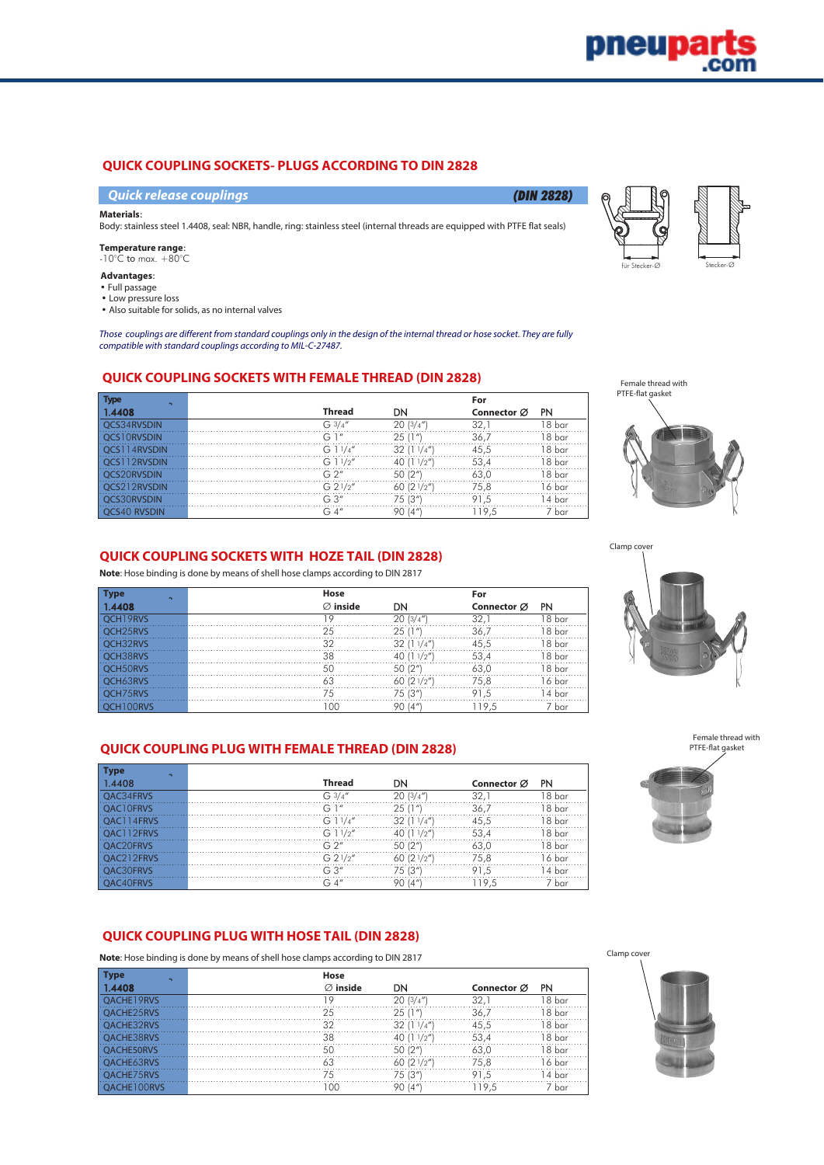## **QUICK COUPLING SOCKETS- PLUGS ACCORDING TO DIN 2828**

**Quick release couplings** (DIN 2828)

#### **Materials**:

Body: stainless steel 1.4408, seal: NBR, handle, ring: stainless steel (internal threads are equipped with PTFE flat seals)

**Temperature range**:  $-10^{\circ}$ C to max.  $+80^{\circ}$ C

#### **Advantages**:

- Full passage
- Low pressure loss

• Also suitable for solids, as no internal valves

Those couplings are different from standard couplings only in the design of the internal thread or hose socket. They are fully compatible with standard couplings according to MIL-C-27487.

## **QUICK COUPLING SOCKETS WITH FEMALE THREAD (DIN 2828)**

| <b>Type</b><br>$\sim$ |                       |                     | For         |        |
|-----------------------|-----------------------|---------------------|-------------|--------|
| 1.4408                | <b>Thread</b>         | DN                  | Connector Ø | PN     |
| OCS34RVSDIN           | G3/4''                | 20(3/4")            | 32.         | 18 bar |
| 10RVSDIN              | G1''                  | 25(1"               | 36,7        | 18 bar |
| <b>4RVSDIN</b>        | G $11/4''$            | 32(11/4")           | 45.5        | 18 bar |
| 12RVSDIN              | G11/2"                | 40 $(11/2'')$       | 53,4        | 18 bar |
| OCS20RVSDIN           | G 2''                 | 50(2 <sup>n</sup> ) | 63.0        | 18 bar |
| OCS212RVSDIN          | G 2 <sup>1</sup> /2'' | 60 $(21/2")$        | 75.8        | 16 bar |
| <b>S30RVSDIN</b>      | G.3''                 | 75 (3")             | 91.5        | 14 bar |
| <b>OCS40 RVSDIN</b>   | G4''                  | 90 (4"              | 119.5       | 7 bar  |

Female thread with PTFE-flat gasket

Clamp coy



für Stecker-Ø Stecker-Ø

## **QUICK COUPLING SOCKETS WITH HOZE TAIL (DIN 2828)**

**Note**: Hose binding is done by means of shell hose clamps according to DIN 2817

| <b>Type</b><br>$\sim$ | Hose |                            |               | For         |        |
|-----------------------|------|----------------------------|---------------|-------------|--------|
| 1.4408                |      | $\varnothing$ inside<br>DΝ |               | Connector Ø | PN     |
| OCH <sub>19RVS</sub>  |      |                            | 20(3/4")      | 32.         | 18 bar |
| OCH <sub>25</sub> RVS | クら   | 25(1")                     |               | 36.7        | 18 bar |
| OCH32RVS              | 30   |                            | 32(11/4")     | 45,5        | 18 bar |
| OCH38RVS              | 38   |                            | 40 $(11/2'')$ | 53.4        | 18 bar |
| OCH50RVS              | 50   | 50(2 <sup>n</sup> )        |               | 63.0        | 18 bar |
| OCH63RVS              | 63   |                            | 60 $(21/2n)$  | 75.8        | 16 bar |
| OCH75RVS              | 75   | 75 (3")                    |               | 91.5        | 14 bar |
| OCH100RVS             | OC.  | 90 (4"                     |               | 119.5       | 7 bar  |

## **QUICK COUPLING PLUG WITH FEMALE THREAD (DIN 2828)**

| <b>Type</b><br>$\sim$  |               |               |             |        |
|------------------------|---------------|---------------|-------------|--------|
| 1.4408                 | <b>Thread</b> | DN            | Connector Ø | PN     |
| OAC34FRVS              | $G_3/4''$     | 20(3/4'')     | 32.         | 18 bar |
| <b>CLOERVS</b>         | G 1"          | 25(1"         | 36.7        | 18 bar |
| C114FRVS               | G 11/4"       | 32(11/4")     | 45.5        | 18 bar |
| OAC112FRVS             | G 1 $1/2''$   | 40 $(11/2'')$ | 53,4        | 18 bar |
| OAC <sub>20</sub> FRVS | G 2''         | 50 (2"        | 63.0        | 18 bar |
| $C212$ FRVS            | G 21/2"       | 60(21/2")     | 75.8        | 16 bar |
| <b>DAC30ERVS</b>       | G 3"          | 75 (3"        | 91,5        | 14 bar |
| OAC40FRVS              | G4''          | 90 (4"        | 19.5        | ′ bar  |

Clamp cover

## **QUICK COUPLING PLUG WITH HOSE TAIL (DIN 2828)**

**Note**: Hose binding is done by means of shell hose clamps according to DIN 2817

| <b>Type</b><br>$\sim$ | Hose                 |               |                         |           |
|-----------------------|----------------------|---------------|-------------------------|-----------|
| 1.4408                | $\varnothing$ inside | DN            | Connector $\varnothing$ | <b>PN</b> |
| OACHE19RVS            |                      | 20(3/4")      | 32.                     | 18 bar    |
| OACHE25RVS            | 25                   | 25(1")        | 36,7                    | 18 bar    |
| <b>DACHE32RVS</b>     | 32                   | 32(11/4")     | 45.5                    | 8 bar     |
| <b>DACHE38RVS</b>     | 38                   | 40 $(11/2'')$ | 53,4                    | 18 bar    |
| <b>OACHE50RVS</b>     | 50                   | 50 (2")       | 63.0                    | 18 bar    |
| <b>DACHE63RVS</b>     | 63                   | 60 $(21/2'')$ | 75.8                    | 6 bar     |
| <b>DACHE75RVS</b>     | 75                   | 75 (3")       | 91.5                    | 4 bar     |
| <b>OORVS</b>          |                      | 90(4"         | 119.5                   | 7 bar     |





Female thread with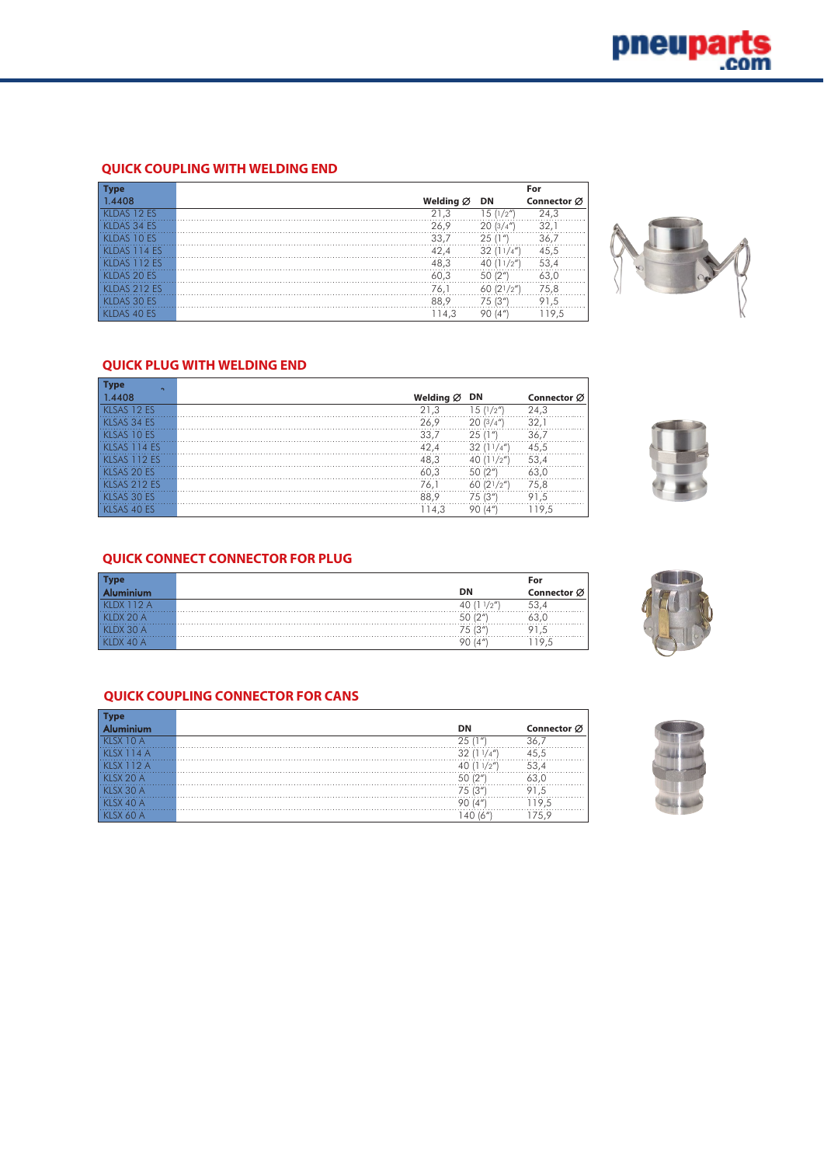## **QUICK COUPLING WITH WELDING END**

| <b>Type</b>       |                       |                          | For         |
|-------------------|-----------------------|--------------------------|-------------|
| 1.4408            | Welding $\varnothing$ | DN                       | Connector Ø |
| KLDAS 12 ES       | 21,3                  | 12''<br>$5^{\circ}$      | 24.3        |
| KLDAS 34 ES       | 26.9                  | 20(3/4")                 | 32.         |
| KLDAS 10 ES       | 33.7                  | 25(1")                   | 36.7        |
| <b>DAS 114 ES</b> | 42.4                  | 32<br>11/4''             | 45,5        |
| KLDAS 112 ES      | 48.3                  | (11/2'')                 | 53.4        |
| KLDAS 20 ES       | 60.3                  | 50 (2")                  | 63.0        |
| KLDAS 212 ES      | 76.1                  | 60(21/2")                | 75,8        |
| KLDAS 30 ES       | 88.9                  | 75 (3")                  | 91,5        |
| KLDAS 40 ES       | 114.3                 | (4 <sup>n</sup> )<br>90. | 119.5       |



## **QUICK PLUG WITH WELDING END**

| <b>Type</b><br>$\sim$ |                                       |
|-----------------------|---------------------------------------|
| 1.4408                | Welding $\emptyset$ DN<br>Connector Ø |
| KLSAS 12 ES           | 24,3<br>21.3<br>15 (1/2″)             |
| KLSAS 34 ES           | 32.7<br>20(3/4")<br>26.9              |
| KLSAS 10 ES           | 33.7<br>36,7<br>25(                   |
| KLSAS 114 ES          | 42.4<br>45.5<br>32                    |
| KLSAS 112 ES          | 48.3<br>53,4<br>(11/2'')              |
| KLSAS 20 ES           | 60.3<br>50(2 <sup>u</sup> )<br>63.0   |
| KLSAS 212 ES          | 60 $(21/2'')$<br>75.8<br>76.1         |
| KLSAS 30 ES           | 88.9<br>75 (3")<br>91.5               |
| KLSAS 40 ES           | 119.5<br>114.3<br>90 (4"              |



## **QUICK CONNECT CONNECTOR FOR PLUG**

|                   | For         |
|-------------------|-------------|
| DN                | Connector Ø |
|                   | .           |
| 101               |             |
| (01)<br>15<br>ت ا | $\sim$<br>. |
| $\Lambda$         |             |

## **QUICK COUPLING CONNECTOR FOR CANS**

|           | Connector Ø<br><b>DN</b> |
|-----------|--------------------------|
| CYIOA     | 36.<br>25.11"            |
| XY114A    | (11/4'')                 |
| SX 112 A  | (11/2'')                 |
| SX 20 A   | 56.                      |
| KISX 30A  | 75 (3"<br>91.5           |
| KLSX 40 A | (4"<br>9.5               |
|           | 16"                      |